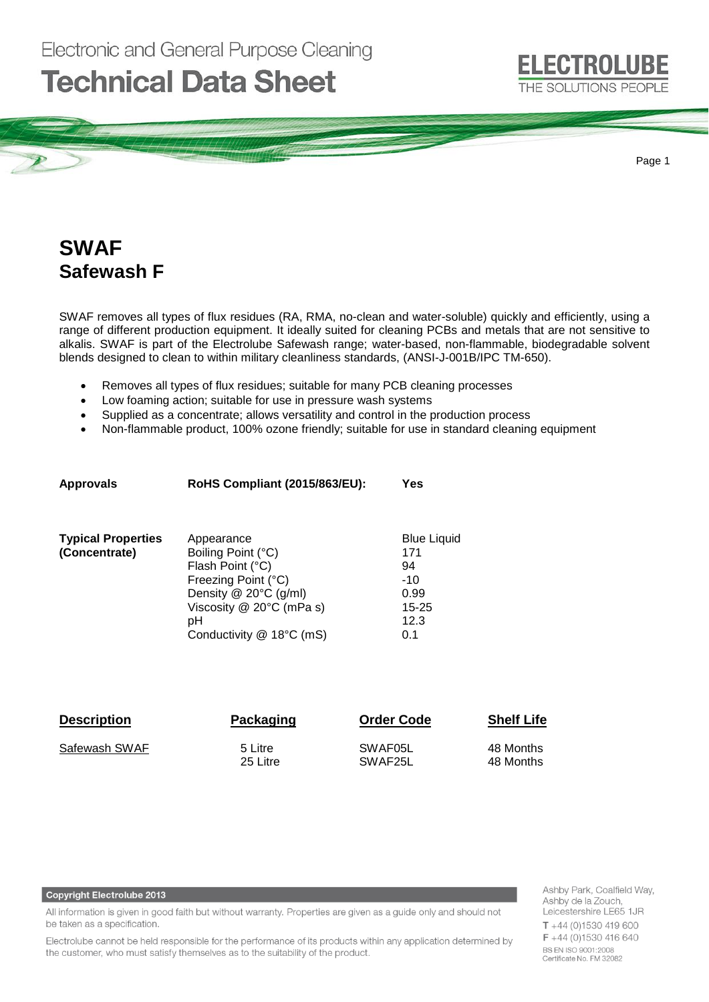# **Technical Data Sheet**



Page 1

# **SWAF Safewash F**

SWAF removes all types of flux residues (RA, RMA, no-clean and water-soluble) quickly and efficiently, using a range of different production equipment. It ideally suited for cleaning PCBs and metals that are not sensitive to alkalis. SWAF is part of the Electrolube Safewash range; water-based, non-flammable, biodegradable solvent blends designed to clean to within military cleanliness standards, (ANSI-J-001B/IPC TM-650).

- Removes all types of flux residues; suitable for many PCB cleaning processes
- Low foaming action; suitable for use in pressure wash systems
- Supplied as a concentrate; allows versatility and control in the production process
- Non-flammable product, 100% ozone friendly; suitable for use in standard cleaning equipment

| <b>Approvals</b>          | <b>RoHS Compliant (2015/863/EU):</b>                                                                                                                           | Yes                                                    |
|---------------------------|----------------------------------------------------------------------------------------------------------------------------------------------------------------|--------------------------------------------------------|
| <b>Typical Properties</b> | Appearance                                                                                                                                                     | <b>Blue Liquid</b>                                     |
| (Concentrate)             | Boiling Point (°C)<br>Flash Point (°C)<br>Freezing Point (°C)<br>Density $@$ 20 $°C$ (g/ml)<br>Viscosity $@$ 20 $°C$ (mPa s)<br>pН<br>Conductivity @ 18°C (mS) | 171<br>94<br>$-10$<br>0.99<br>$15 - 25$<br>12.3<br>0.1 |
|                           |                                                                                                                                                                |                                                        |

| <b>Description</b> | Packaging | <b>Order Code</b> | <b>Shelf Life</b> |
|--------------------|-----------|-------------------|-------------------|
| Safewash SWAF      | 5 Litre   | SWAF05L           | 48 Months         |
|                    | 25 Litre  | SWAF25L           | 48 Months         |

### **Copyright Electrolube 2013**

All information is given in good faith but without warranty. Properties are given as a guide only and should not be taken as a specification.

Electrolube cannot be held responsible for the performance of its products within any application determined by the customer, who must satisfy themselves as to the suitability of the product.

Ashby Park, Coalfield Way, Ashby de la Zouch Leicestershire LE65 1JR  $T + 44(0)1530419600$ F +44 (0)1530 416 640 BS EN ISO 9001:2008 Certificate No. FM 32082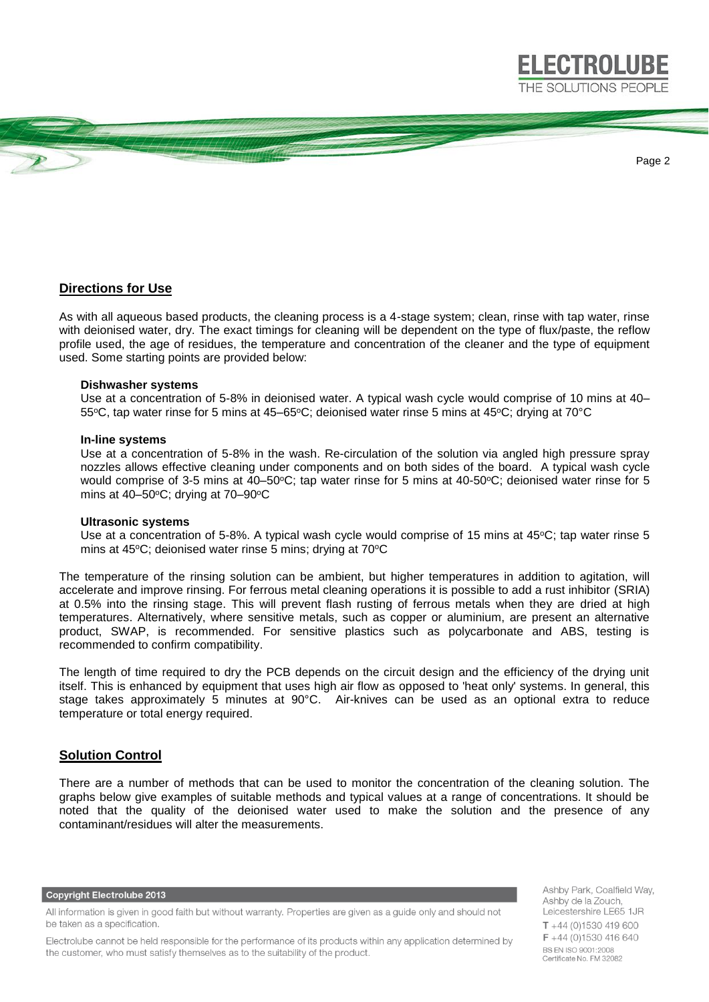THE SOLUTIONS PEOPLE

**ELECTROLUBE** 

Page 2

# **Directions for Use**

As with all aqueous based products, the cleaning process is a 4-stage system; clean, rinse with tap water, rinse with deionised water, dry. The exact timings for cleaning will be dependent on the type of flux/paste, the reflow profile used, the age of residues, the temperature and concentration of the cleaner and the type of equipment used. Some starting points are provided below:

### **Dishwasher systems**

Use at a concentration of 5-8% in deionised water. A typical wash cycle would comprise of 10 mins at 40– 55°C, tap water rinse for 5 mins at 45–65°C; deionised water rinse 5 mins at 45°C; drying at 70°C

#### **In-line systems**

Use at a concentration of 5-8% in the wash. Re-circulation of the solution via angled high pressure spray nozzles allows effective cleaning under components and on both sides of the board. A typical wash cycle would comprise of 3-5 mins at 40–50 $^{\circ}$ C; tap water rinse for 5 mins at 40-50 $^{\circ}$ C; deionised water rinse for 5 mins at  $40-50$ °C; drying at  $70-90$ °C

#### **Ultrasonic systems**

Use at a concentration of 5-8%. A typical wash cycle would comprise of 15 mins at  $45^{\circ}$ C; tap water rinse 5 mins at 45°C; deionised water rinse 5 mins; drying at 70°C

The temperature of the rinsing solution can be ambient, but higher temperatures in addition to agitation, will accelerate and improve rinsing. For ferrous metal cleaning operations it is possible to add a rust inhibitor (SRIA) at 0.5% into the rinsing stage. This will prevent flash rusting of ferrous metals when they are dried at high temperatures. Alternatively, where sensitive metals, such as copper or aluminium, are present an alternative product, SWAP, is recommended. For sensitive plastics such as polycarbonate and ABS, testing is recommended to confirm compatibility.

The length of time required to dry the PCB depends on the circuit design and the efficiency of the drying unit itself. This is enhanced by equipment that uses high air flow as opposed to 'heat only' systems. In general, this stage takes approximately 5 minutes at 90°C. Air-knives can be used as an optional extra to reduce temperature or total energy required.

# **Solution Control**

There are a number of methods that can be used to monitor the concentration of the cleaning solution. The graphs below give examples of suitable methods and typical values at a range of concentrations. It should be noted that the quality of the deionised water used to make the solution and the presence of any contaminant/residues will alter the measurements.

**Copyright Electrolube 2013** 

Electrolube cannot be held responsible for the performance of its products within any application determined by the customer, who must satisfy themselves as to the suitability of the product.

Ashby Park, Coalfield Way, Ashby de la Zouch Leicestershire LE65 1JR  $T + 44$  (0)1530 419 600  $F + 44$  (0)1530 416 640 BS EN ISO 9001:2008 Certificate No. FM 32082

All information is given in good faith but without warranty. Properties are given as a guide only and should not be taken as a specification.